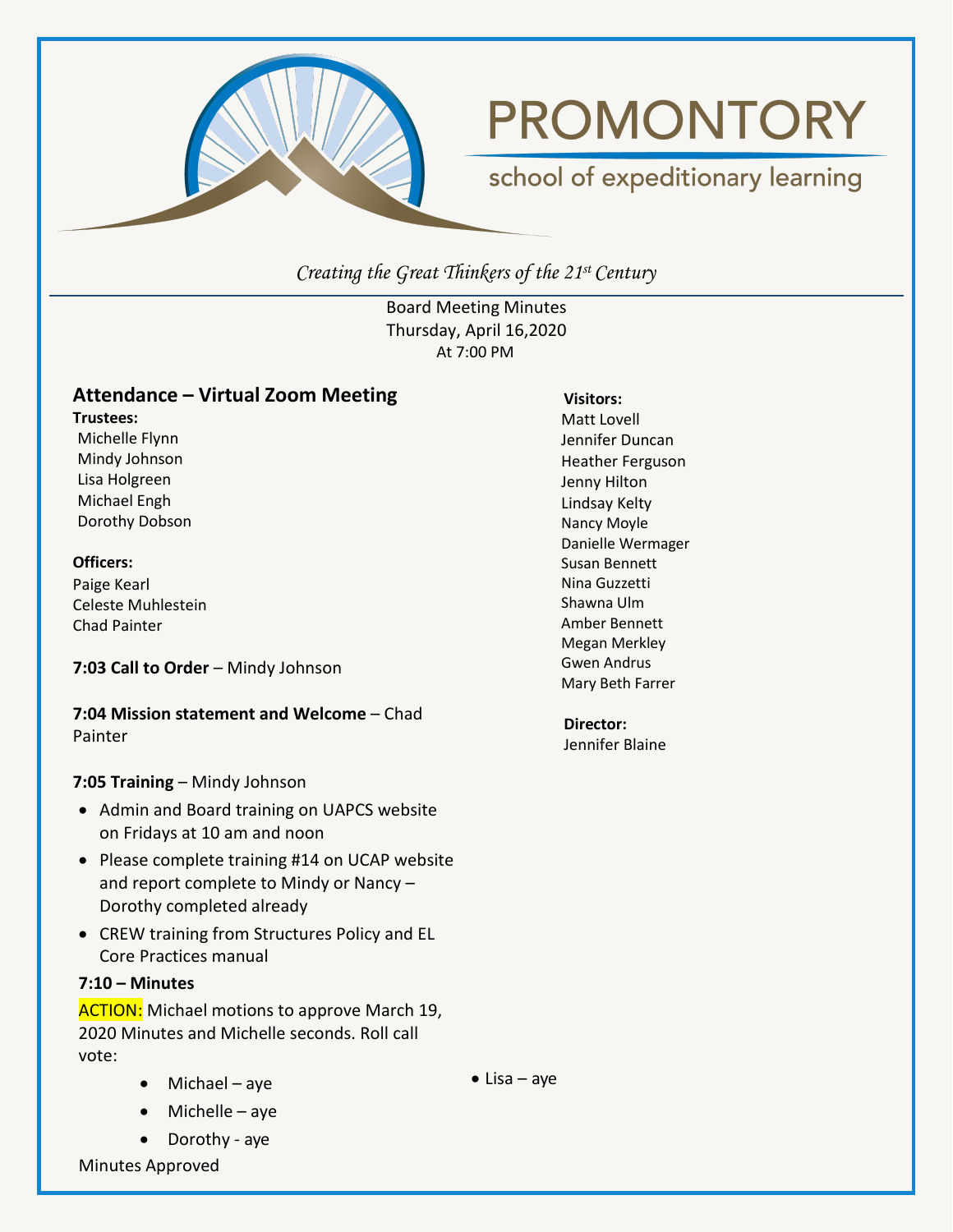

# **PROMONTORY**

# school of expeditionary learning

*Creating the Great Thinkers of the 21st Century*

Board Meeting Minutes Thursday, April 16,2020 At 7:00 PM

# **Attendance – Virtual Zoom Meeting**

**Trustees:**

Michelle Flynn Mindy Johnson Lisa Holgreen Michael Engh Dorothy Dobson

#### **Officers:**

Paige Kearl Celeste Muhlestein Chad Painter

# **7:03 Call to Order** – Mindy Johnson

**7:04 Mission statement and Welcome** – Chad Painter

# **7:05 Training** – Mindy Johnson

- Admin and Board training on UAPCS website on Fridays at 10 am and noon
- Please complete training #14 on UCAP website and report complete to Mindy or Nancy – Dorothy completed already
- CREW training from Structures Policy and EL Core Practices manual

# **7:10 – Minutes**

**ACTION:** Michael motions to approve March 19, 2020 Minutes and Michelle seconds. Roll call vote:

- Michael aye
- Michelle aye
- Dorothy aye

Minutes Approved

#### **Visitors:**

Matt Lovell Jennifer Duncan Heather Ferguson Jenny Hilton Lindsay Kelty Nancy Moyle Danielle Wermager Susan Bennett Nina Guzzetti Shawna Ulm Amber Bennett Megan Merkley Gwen Andrus Mary Beth Farrer

**Director:** Jennifer Blaine

 $\bullet$  Lisa – aye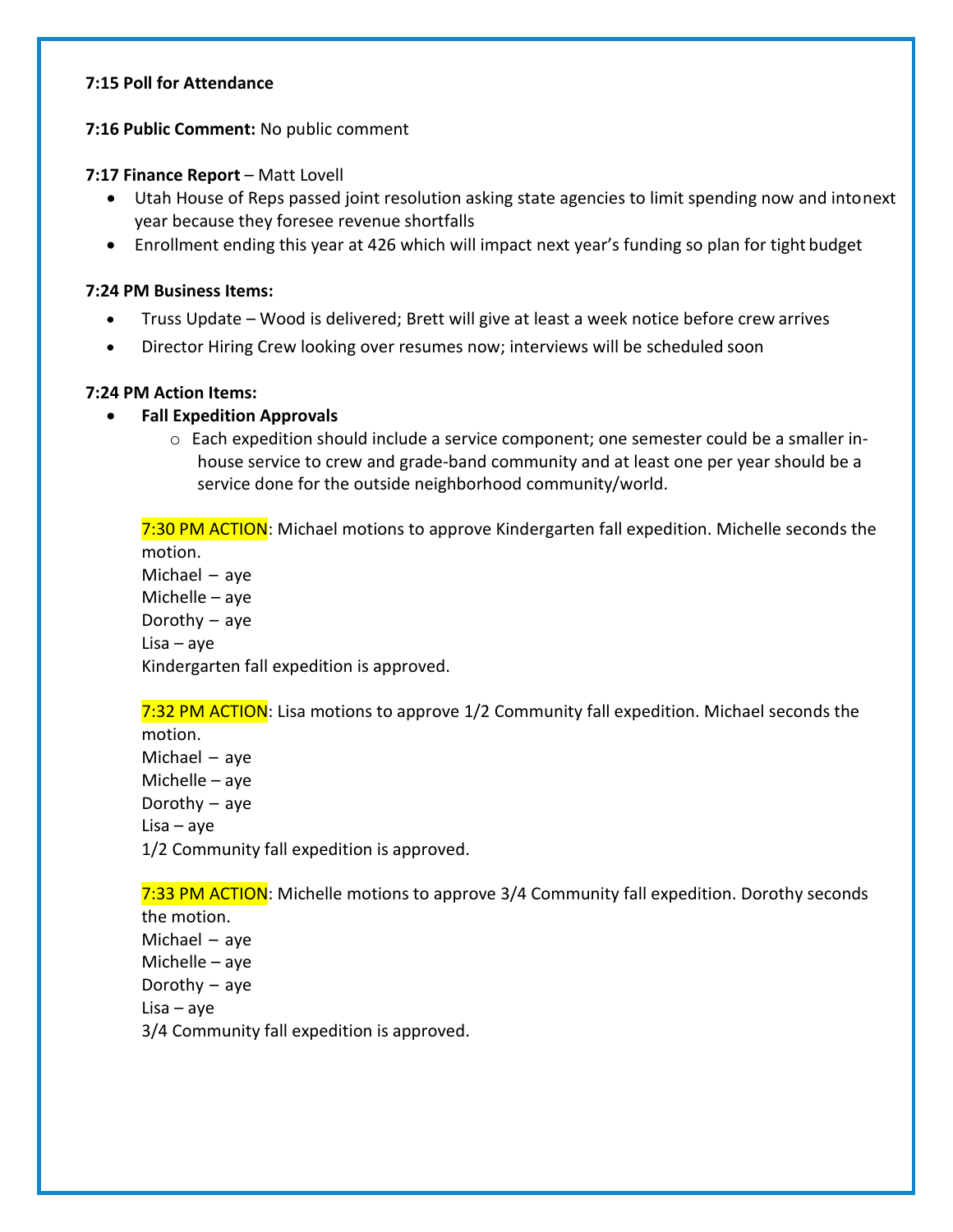#### **7:15 Poll for Attendance**

#### **7:16 Public Comment:** No public comment

#### **7:17 Finance Report** – Matt Lovell

- Utah House of Reps passed joint resolution asking state agencies to limit spending now and intonext year because they foresee revenue shortfalls
- Enrollment ending this year at 426 which will impact next year's funding so plan for tight budget

#### **7:24 PM Business Items:**

- Truss Update Wood is delivered; Brett will give at least a week notice before crew arrives
- Director Hiring Crew looking over resumes now; interviews will be scheduled soon

#### **7:24 PM Action Items:**

#### • **Fall Expedition Approvals**

 $\circ$  Each expedition should include a service component; one semester could be a smaller inhouse service to crew and grade-band community and at least one per year should be a service done for the outside neighborhood community/world.

7:30 PM ACTION: Michael motions to approve Kindergarten fall expedition. Michelle seconds the motion. Michael – aye Michelle – aye

Dorothy – aye Lisa – aye Kindergarten fall expedition is approved.

7:32 PM ACTION: Lisa motions to approve 1/2 Community fall expedition. Michael seconds the

motion. Michael – aye Michelle – aye Dorothy – aye Lisa – aye 1/2 Community fall expedition is approved.

7:33 PM ACTION: Michelle motions to approve 3/4 Community fall expedition. Dorothy seconds

the motion. Michael – aye Michelle – aye Dorothy – aye Lisa – aye 3/4 Community fall expedition is approved.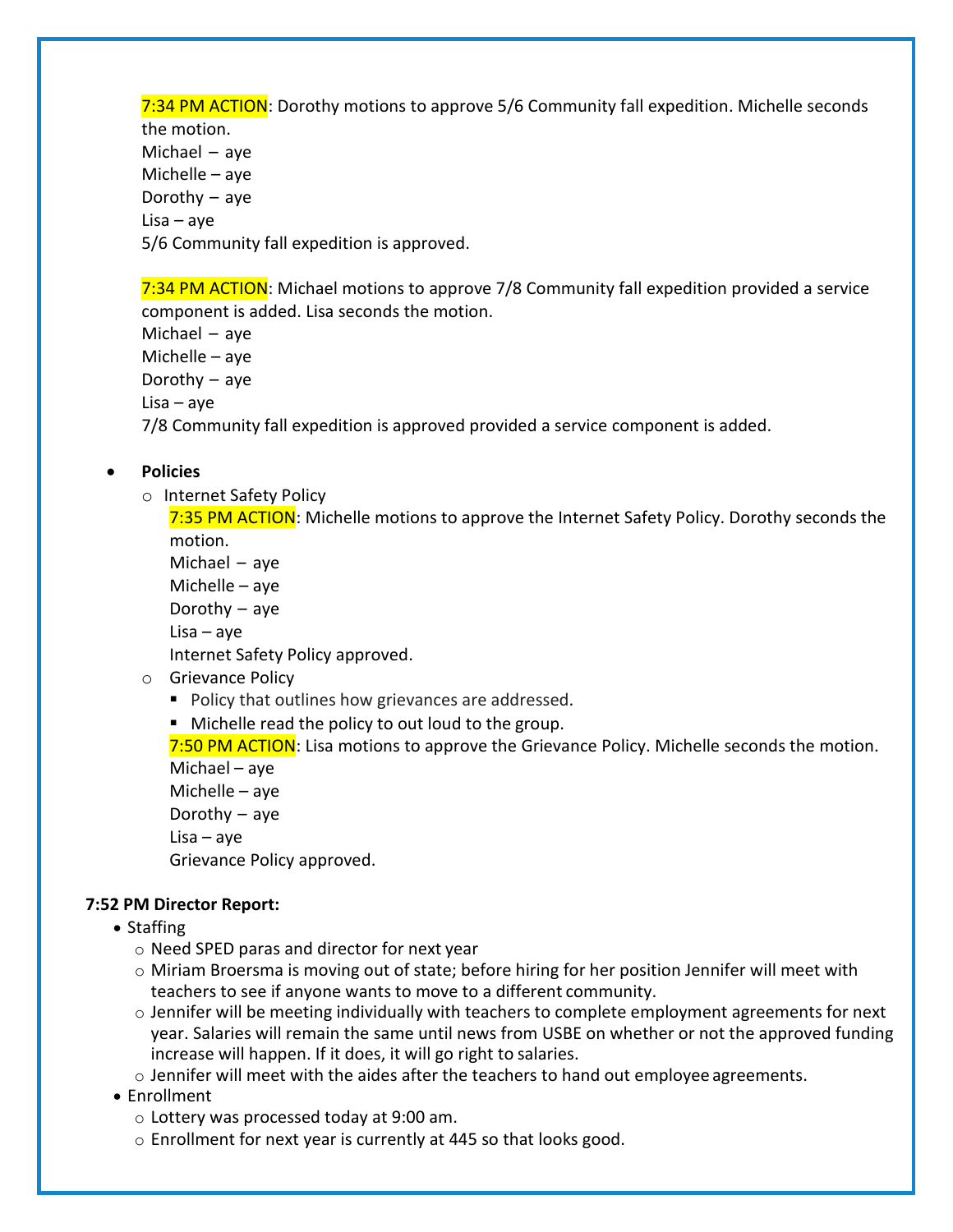7:34 PM ACTION: Dorothy motions to approve 5/6 Community fall expedition. Michelle seconds the motion. Michael – aye Michelle – aye Dorothy – aye Lisa – aye 5/6 Community fall expedition is approved.

7:34 PM ACTION: Michael motions to approve 7/8 Community fall expedition provided a service component is added. Lisa seconds the motion.

Michael – aye Michelle – aye Dorothy – aye Lisa – aye 7/8 Community fall expedition is approved provided a service component is added.

# • **Policies**

o Internet Safety Policy

7:35 PM ACTION: Michelle motions to approve the Internet Safety Policy. Dorothy seconds the motion.

Michael – aye Michelle – aye Dorothy – aye Lisa – aye Internet Safety Policy approved.

# o Grievance Policy

- Policy that outlines how grievances are addressed.
- Michelle read the policy to out loud to the group.

7:50 PM ACTION: Lisa motions to approve the Grievance Policy. Michelle seconds the motion.

Michael – aye Michelle – aye Dorothy – aye Lisa – aye Grievance Policy approved.

#### **7:52 PM Director Report:**

- Staffing
	- o Need SPED paras and director for next year
	- $\circ$  Miriam Broersma is moving out of state; before hiring for her position Jennifer will meet with teachers to see if anyone wants to move to a different community.
	- $\circ$  Jennifer will be meeting individually with teachers to complete employment agreements for next year. Salaries will remain the same until news from USBE on whether or not the approved funding increase will happen. If it does, it will go right to salaries.
	- $\circ$  Jennifer will meet with the aides after the teachers to hand out employee agreements.
- Enrollment
	- o Lottery was processed today at 9:00 am.
	- o Enrollment for next year is currently at 445 so that looks good.